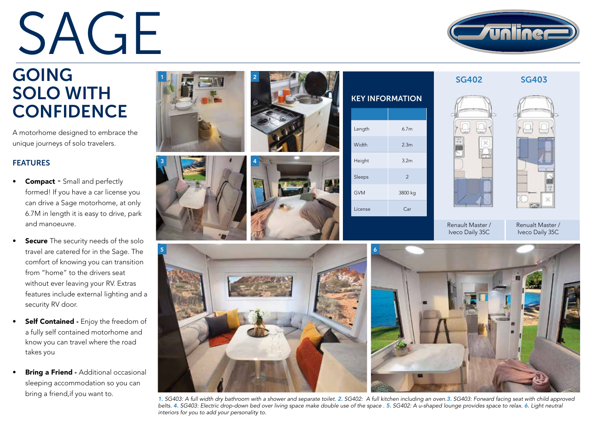# SAGE



SG402 SG403

## GOING SOLO WITH **CONFIDENCE**

A motorhome designed to embrace the unique journeys of solo travelers.

#### FEATURES

- **Compact Small and perfectly** formed! If you have a car license you can drive a Sage motorhome, at only 6.7M in length it is easy to drive, park and manoeuvre.
- **Secure** The security needs of the solo travel are catered for in the Sage. The comfort of knowing you can transition from "home" to the drivers seat without ever leaving your RV. Extras features include external lighting and a security RV door.
- Self Contained Enjoy the freedom of a fully self contained motorhome and know you can travel where the road takes you
- Bring a Friend Additional occasional sleeping accommodation so you can bring a friend,if you want to.





| <b>KEY INFORMATION</b> |                  |  |  |  |
|------------------------|------------------|--|--|--|
| Length                 | 6.7 <sub>m</sub> |  |  |  |
| Width                  | 2.3 <sub>m</sub> |  |  |  |
| Height                 | 3.2 <sub>m</sub> |  |  |  |
| Sleeps                 | $\overline{2}$   |  |  |  |
| <b>GVM</b>             | 3800 kg          |  |  |  |
| License                | Car              |  |  |  |





Renault Master / Iveco Daily 35C

Renualt Master / Iveco Daily 35C





*1. SG403: A full width dry bathroom with a shower and separate toilet. 2. SG402: A full kitchen including an oven.3. SG403: Forward facing seat with child approved belts. 4. SG403: Electric drop-down bed over living space make double use of the space . 5. SG402: A u-shaped lounge provides space to relax. 6. Light neutral interiors for you to add your personality to.*